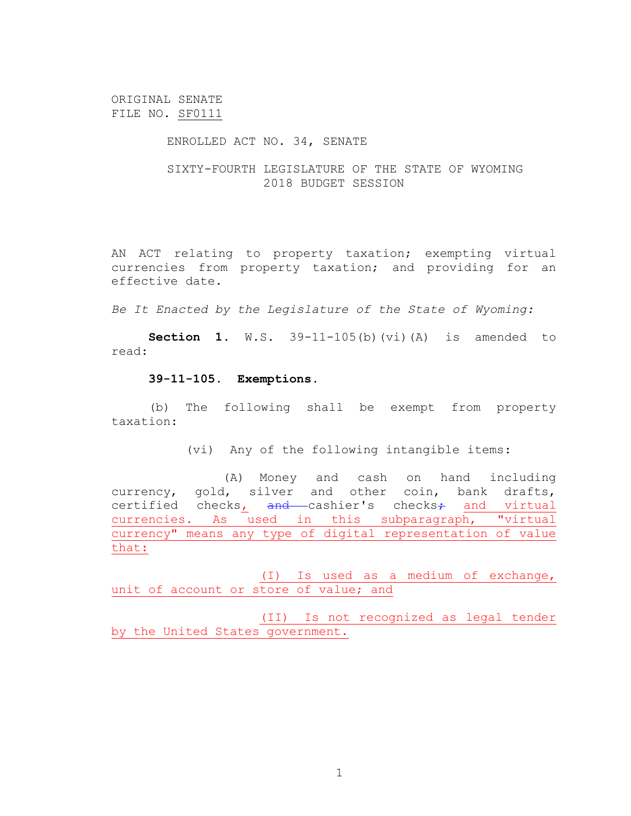ORIGINAL SENATE FILE NO. SF0111

## ENROLLED ACT NO. 34, SENATE

## SIXTY-FOURTH LEGISLATURE OF THE STATE OF WYOMING 2018 BUDGET SESSION

AN ACT relating to property taxation; exempting virtual currencies from property taxation; and providing for an effective date.

*Be It Enacted by the Legislature of the State of Wyoming:*

**Section 1**. W.S. 39-11-105(b)(vi)(A) is amended to read:

## **39-11-105. Exemptions.**

(b)The following shall be exempt from property taxation:

(vi) Any of the following intangible items:

(A) Money and cash on hand including currency, gold, silver and other coin, bank drafts, certified checks<sub>1</sub> and cashier's checks<sub>7</sub> and virtual currencies. As used in this subparagraph, "virtual currency" means any type of digital representation of value that:

(I) Is used as a medium of exchange, unit of account or store of value; and

(II) Is not recognized as legal tender by the United States government.